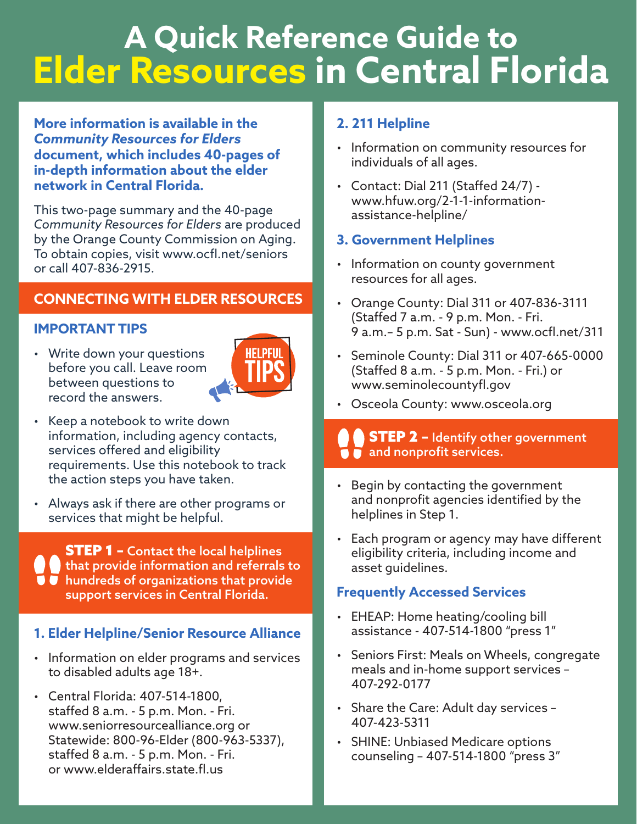# **A Quick Reference Guide to Elder Resources in Central Florida**

#### **More information is available in the**  *Community Resources for Elders*  **document, which includes 40-pages of in-depth information about the elder network in Central Florida.**

This two-page summary and the 40-page *Community Resources for Elders* are produced by the Orange County Commission on Aging. To obtain copies, visit www.ocfl.net/seniors or call 407-836-2915.

### **CONNECTING WITH ELDER RESOURCES**

#### **IMPORTANT TIPS**

• Write down your questions before you call. Leave room between questions to record the answers.



- Keep a notebook to write down information, including agency contacts, services offered and eligibility requirements. Use this notebook to track the action steps you have taken.
- Always ask if there are other programs or services that might be helpful.

**STEP 1 - Contact the local helplines** that provide information and referrals to  $\bullet$  hundreds of organizations that provide support services in Central Florida.

#### **1. Elder Helpline/Senior Resource Alliance**

- Information on elder programs and services to disabled adults age 18+.
- Central Florida: 407-514-1800, staffed 8 a.m. - 5 p.m. Mon. - Fri. <www.seniorresourcealliance.org>or Statewide: 800-96-Elder (800-963-5337), staffed 8 a.m. - 5 p.m. Mon. - Fri. or [www.elderaffairs.state.f.us](www.elderaffairs.state.fl.us)

#### **2. 211 Helpline**

- Information on community resources for individuals of all ages.
- Contact: Dial 211 (Staffed 24/7) <www.hfuw.org/2-1-1-information>assistance-helpline/

#### **3. Government Helplines**

- Information on county government resources for all ages.
- Orange County: Dial 311 or 407-836-3111 (Staffed 7 a.m. - 9 p.m. Mon. - Fri. 9 a.m.– 5 p.m. Sat - Sun) - [www.ocf.net/311](www.ocfl.net/311)
- Seminole County: Dial 311 or 407-665-0000 (Staffed 8 a.m. - 5 p.m. Mon. - Fri.) or www.seminolecountyfl.gov
- Osceola County:<www.osceola.org>

#### **STEP 2 - Identify other government**  $\blacksquare$  and nonprofit services.

- • Begin by contacting the government and nonprofit agencies identified by the helplines in Step 1.
- Each program or agency may have different eligibility criteria, including income and asset guidelines.

#### **Frequently Accessed Services**

- EHEAP: Home heating/cooling bill assistance - 407-514-1800 "press 1"
- Seniors First: Meals on Wheels, congregate meals and in-home support services – 407-292-0177
- Share the Care: Adult day services 407-423-5311
- SHINE: Unbiased Medicare options counseling – 407-514-1800 "press 3"